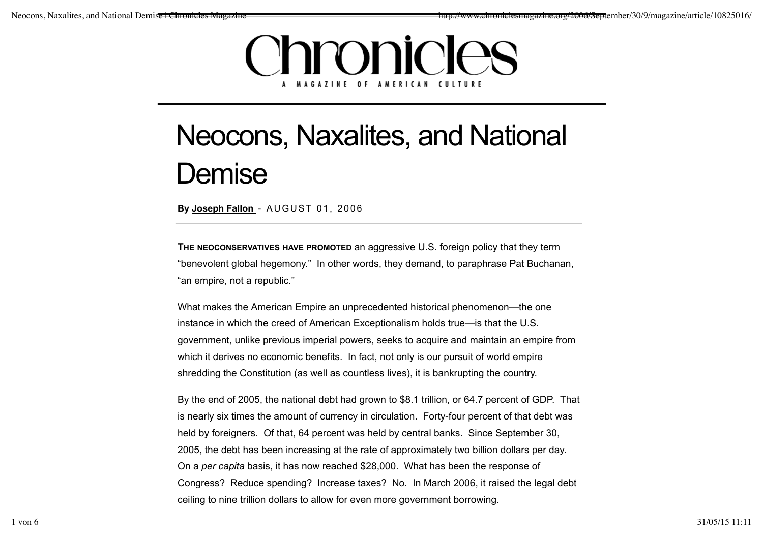## Chronicles **MAGAZINE OF AMERICAN CULTURE**

## Neocons, Naxalites, and National **Demise**

**By Joseph Fallon** - AUGUST 01, 2006

**THE NEOCONSERVATIVES HAVE PROMOTED** an aggressive U.S. foreign policy that they term "benevolent global hegemony." In other words, they demand, to paraphrase Pat Buchanan, "an empire, not a republic."

What makes the American Empire an unprecedented historical phenomenon—the one instance in which the creed of American Exceptionalism holds true—is that the U.S. government, unlike previous imperial powers, seeks to acquire and maintain an empire from which it derives no economic benefits. In fact, not only is our pursuit of world empire shredding the Constitution (as well as countless lives), it is bankrupting the country.

By the end of 2005, the national debt had grown to \$8.1 trillion, or 64.7 percent of GDP. That is nearly six times the amount of currency in circulation. Forty-four percent of that debt was held by foreigners. Of that, 64 percent was held by central banks. Since September 30, 2005, the debt has been increasing at the rate of approximately two billion dollars per day. On a *per capita* basis, it has now reached \$28,000. What has been the response of Congress? Reduce spending? Increase taxes? No. In March 2006, it raised the legal debt ceiling to nine trillion dollars to allow for even more government borrowing.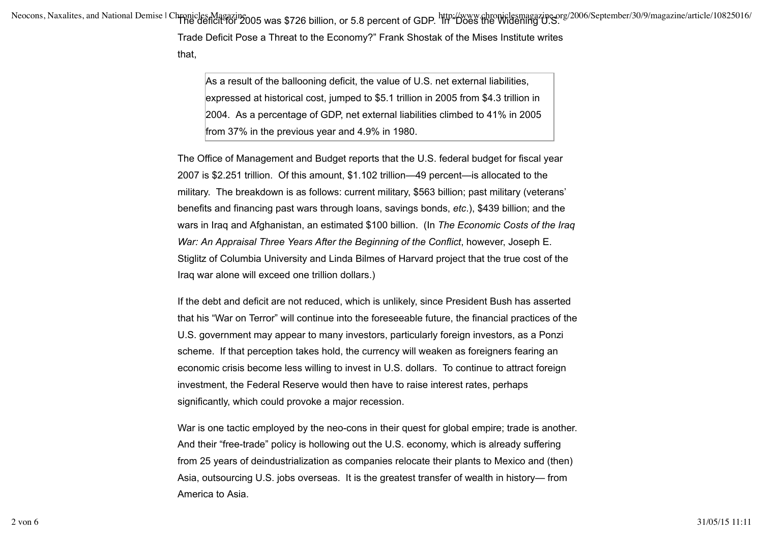Neocons, Naxalites, and National Demise | Chronicles Magazine<br>The deficit for 2005 was \$726 billion, or 5.8 percent of GDP. In "Does the Widening U.S.

Trade Deficit Pose a Threat to the Economy?" Frank Shostak of the Mises Institute writes

that,

As a result of the ballooning deficit, the value of U.S. net external liabilities, expressed at historical cost, jumped to \$5.1 trillion in 2005 from \$4.3 trillion in 2004. As a percentage of GDP, net external liabilities climbed to 41% in 2005 from 37% in the previous year and 4.9% in 1980.

The Office of Management and Budget reports that the U.S. federal budget for fiscal year 2007 is \$2.251 trillion. Of this amount, \$1.102 trillion—49 percent—is allocated to the military. The breakdown is as follows: current military, \$563 billion; past military (veterans' benefits and financing past wars through loans, savings bonds, *etc*.), \$439 billion; and the wars in Iraq and Afghanistan, an estimated \$100 billion. (In *The Economic Costs of the Iraq War: An Appraisal Three Years After the Beginning of the Conflict*, however, Joseph E. Stiglitz of Columbia University and Linda Bilmes of Harvard project that the true cost of the Iraq war alone will exceed one trillion dollars.)

If the debt and deficit are not reduced, which is unlikely, since President Bush has asserted that his "War on Terror" will continue into the foreseeable future, the financial practices of the U.S. government may appear to many investors, particularly foreign investors, as a Ponzi scheme. If that perception takes hold, the currency will weaken as foreigners fearing an economic crisis become less willing to invest in U.S. dollars. To continue to attract foreign investment, the Federal Reserve would then have to raise interest rates, perhaps significantly, which could provoke a major recession.

War is one tactic employed by the neo-cons in their quest for global empire; trade is another. And their "free-trade" policy is hollowing out the U.S. economy, which is already suffering from 25 years of deindustrialization as companies relocate their plants to Mexico and (then) Asia, outsourcing U.S. jobs overseas. It is the greatest transfer of wealth in history— from America to Asia.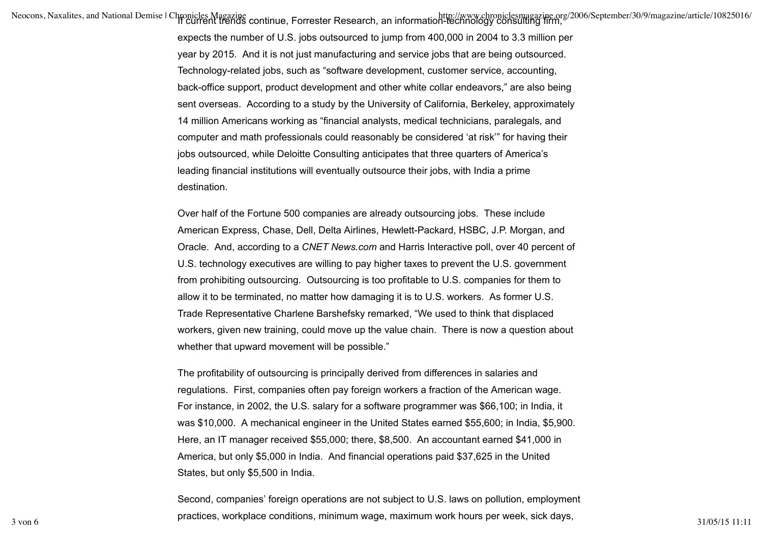/http://www.chroniclesmagazine.org/2006/September/30/9/magazine/article/10825016<br>If Current trends continue, Forrester Research, an information-technology consulting firm,

expects the number of U.S. jobs outsourced to jump from 400,000 in 2004 to 3.3 million per year by 2015. And it is not just manufacturing and service jobs that are being outsourced. Technology-related jobs, such as "software development, customer service, accounting, back-office support, product development and other white collar endeavors," are also being sent overseas. According to a study by the University of California, Berkeley, approximately 14 million Americans working as "financial analysts, medical technicians, paralegals, and computer and math professionals could reasonably be considered 'at risk'" for having their jobs outsourced, while Deloitte Consulting anticipates that three quarters of America's leading financial institutions will eventually outsource their jobs, with India a prime destination.

Over half of the Fortune 500 companies are already outsourcing jobs. These include American Express, Chase, Dell, Delta Airlines, Hewlett-Packard, HSBC, J.P. Morgan, and Oracle. And, according to a *CNET News.com* and Harris Interactive poll, over 40 percent of U.S. technology executives are willing to pay higher taxes to prevent the U.S. government from prohibiting outsourcing. Outsourcing is too profitable to U.S. companies for them to allow it to be terminated, no matter how damaging it is to U.S. workers. As former U.S. Trade Representative Charlene Barshefsky remarked, "We used to think that displaced workers, given new training, could move up the value chain. There is now a question about whether that upward movement will be possible."

The profitability of outsourcing is principally derived from differences in salaries and regulations. First, companies often pay foreign workers a fraction of the American wage. For instance, in 2002, the U.S. salary for a software programmer was \$66,100; in India, it was \$10,000. A mechanical engineer in the United States earned \$55,600; in India, \$5,900. Here, an IT manager received \$55,000; there, \$8,500. An accountant earned \$41,000 in America, but only \$5,000 in India. And financial operations paid \$37,625 in the United States, but only \$5,500 in India.

Second, companies' foreign operations are not subject to U.S. laws on pollution, employment practices, workplace conditions, minimum wage, maximum work hours per week, sick days, 31/05/15 11:11 31/05/15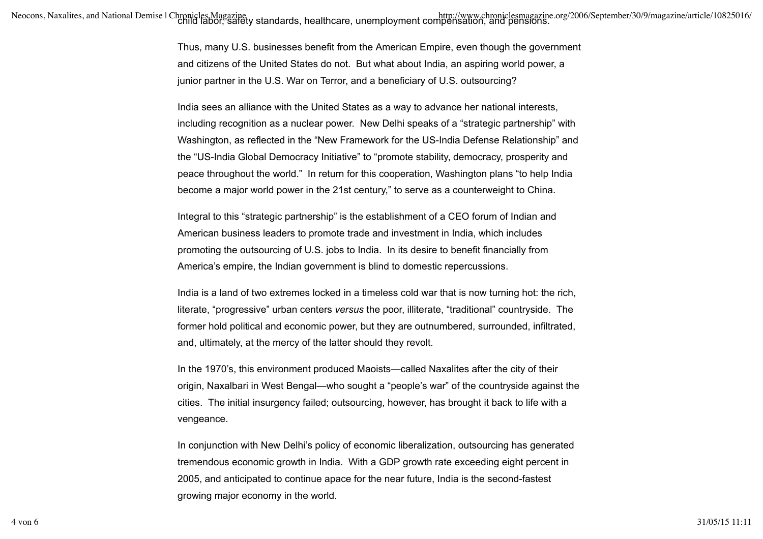Thus, many U.S. businesses benefit from the American Empire, even though the government and citizens of the United States do not. But what about India, an aspiring world power, a junior partner in the U.S. War on Terror, and a beneficiary of U.S. outsourcing?

India sees an alliance with the United States as a way to advance her national interests, including recognition as a nuclear power. New Delhi speaks of a "strategic partnership" with Washington, as reflected in the "New Framework for the US-India Defense Relationship" and the "US-India Global Democracy Initiative" to "promote stability, democracy, prosperity and peace throughout the world." In return for this cooperation, Washington plans "to help India become a major world power in the 21st century," to serve as a counterweight to China.

Integral to this "strategic partnership" is the establishment of a CEO forum of Indian and American business leaders to promote trade and investment in India, which includes promoting the outsourcing of U.S. jobs to India. In its desire to benefit financially from America's empire, the Indian government is blind to domestic repercussions.

India is a land of two extremes locked in a timeless cold war that is now turning hot: the rich, literate, "progressive" urban centers *versus* the poor, illiterate, "traditional" countryside. The former hold political and economic power, but they are outnumbered, surrounded, infiltrated, and, ultimately, at the mercy of the latter should they revolt.

In the 1970's, this environment produced Maoists—called Naxalites after the city of their origin, Naxalbari in West Bengal—who sought a "people's war" of the countryside against the cities. The initial insurgency failed; outsourcing, however, has brought it back to life with a vengeance.

In conjunction with New Delhi's policy of economic liberalization, outsourcing has generated tremendous economic growth in India. With a GDP growth rate exceeding eight percent in 2005, and anticipated to continue apace for the near future, India is the second-fastest growing major economy in the world.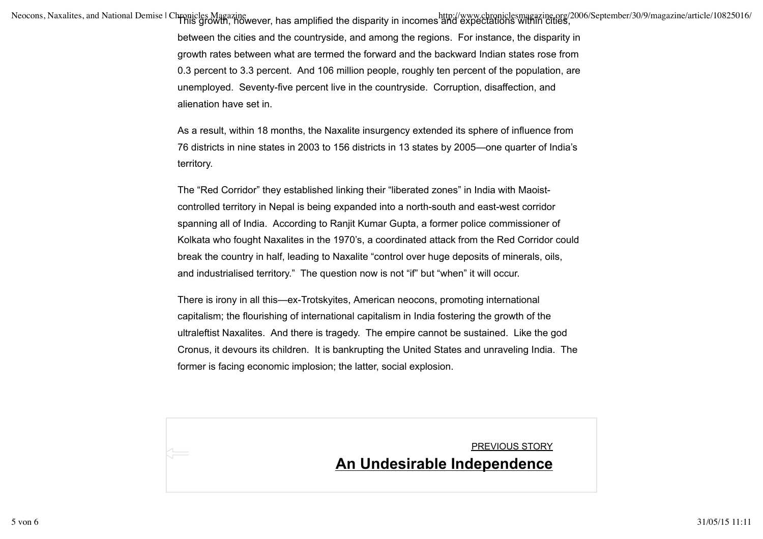/http://www.chroniclesmagazine.org/2006/September/30/9/magazine/article/10825016<br>Nis growth, however, has amplified the disparity in incomes and expectations within cities,

between the cities and the countryside, and among the regions. For instance, the disparity in growth rates between what are termed the forward and the backward Indian states rose from 0.3 percent to 3.3 percent. And 106 million people, roughly ten percent of the population, are unemployed. Seventy-five percent live in the countryside. Corruption, disaffection, and alienation have set in.

As a result, within 18 months, the Naxalite insurgency extended its sphere of influence from 76 districts in nine states in 2003 to 156 districts in 13 states by 2005—one quarter of India's territory.

The "Red Corridor" they established linking their "liberated zones" in India with Maoistcontrolled territory in Nepal is being expanded into a north-south and east-west corridor spanning all of India. According to Ranjit Kumar Gupta, a former police commissioner of Kolkata who fought Naxalites in the 1970's, a coordinated attack from the Red Corridor could break the country in half, leading to Naxalite "control over huge deposits of minerals, oils, and industrialised territory." The question now is not "if" but "when" it will occur.

There is irony in all this—ex-Trotskyites, American neocons, promoting international capitalism; the flourishing of international capitalism in India fostering the growth of the ultraleftist Naxalites. And there is tragedy. The empire cannot be sustained. Like the god Cronus, it devours its children. It is bankrupting the United States and unraveling India. The former is facing economic implosion; the latter, social explosion.

## <u>PREVIOUS STORY</u><br>**An Undesirable Independence**